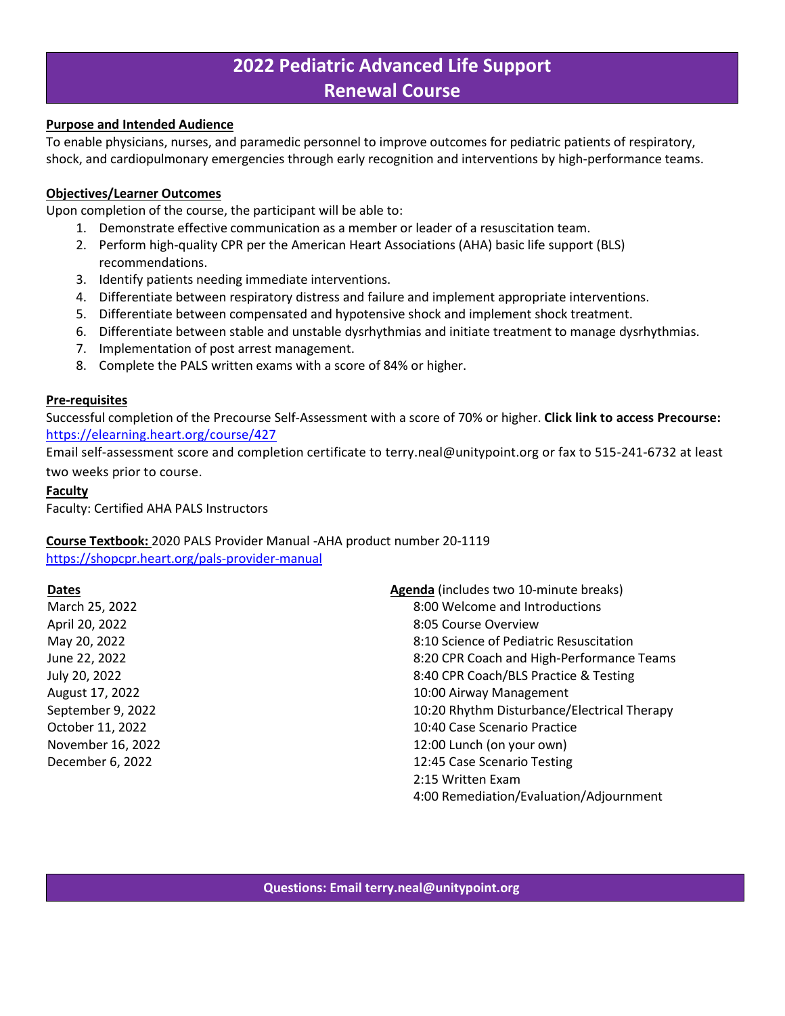# **2022 Pediatric Advanced Life Support Renewal Course**

## **Purpose and Intended Audience**

To enable physicians, nurses, and paramedic personnel to improve outcomes for pediatric patients of respiratory, shock, and cardiopulmonary emergencies through early recognition and interventions by high-performance teams.

## **Objectives/Learner Outcomes**

Upon completion of the course, the participant will be able to:

- 1. Demonstrate effective communication as a member or leader of a resuscitation team.
- 2. Perform high-quality CPR per the American Heart Associations (AHA) basic life support (BLS) recommendations.
- 3. Identify patients needing immediate interventions.
- 4. Differentiate between respiratory distress and failure and implement appropriate interventions.
- 5. Differentiate between compensated and hypotensive shock and implement shock treatment.
- 6. Differentiate between stable and unstable dysrhythmias and initiate treatment to manage dysrhythmias.
- 7. Implementation of post arrest management.
- 8. Complete the PALS written exams with a score of 84% or higher.

## **Pre-requisites**

Successful completion of the Precourse Self-Assessment with a score of 70% or higher. **Click link to access Precourse:** <https://elearning.heart.org/course/427>

Email self-assessment score and completion certificate to terry.neal@unitypoint.org or fax to 515-241-6732 at least two weeks prior to course.

## **Faculty**

Faculty: Certified AHA PALS Instructors

# **Course Textbook:** 2020 PALS Provider Manual -AHA product number 20-1119

<https://shopcpr.heart.org/pals-provider-manual>

# **Dates**

March 25, 2022 April 20, 2022 May 20, 2022 June 22, 2022 July 20, 2022 August 17, 2022 September 9, 2022 October 11, 2022 November 16, 2022 December 6, 2022

**Agenda** (includes two 10-minute breaks) 8:00 Welcome and Introductions 8:05 Course Overview 8:10 Science of Pediatric Resuscitation 8:20 CPR Coach and High-Performance Teams 8:40 CPR Coach/BLS Practice & Testing 10:00 Airway Management 10:20 Rhythm Disturbance/Electrical Therapy 10:40 Case Scenario Practice 12:00 Lunch (on your own) 12:45 Case Scenario Testing 2:15 Written Exam 4:00 Remediation/Evaluation/Adjournment